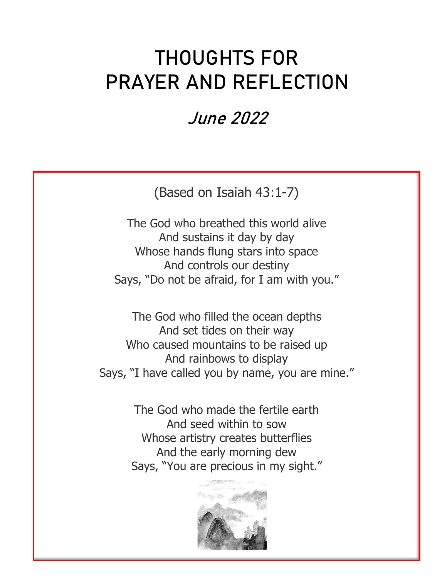## **THOUGHTS FOR PRAYER AND REFLECTION**

## **June 2022**

(Based on Isaiah 43:1-7)

The God who breathed this world alive And sustains it day by day Whose hands flung stars into space And controls our destiny Says, "Do not be afraid, for I am with you."

The God who filled the ocean depths And set tides on their way Who caused mountains to be raised up And rainbows to display Says, "I have called you by name, you are mine."

> The God who made the fertile earth And seed within to sow Whose artistry creates butterflies And the early morning dew Says, "You are precious in my sight."

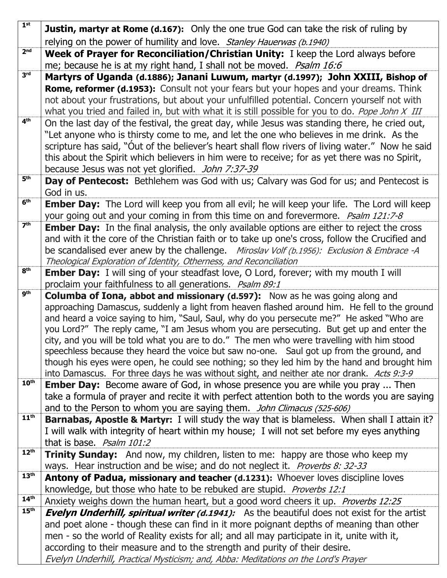| 1 <sup>st</sup>  | <b>Justin, martyr at Rome (d.167):</b> Only the one true God can take the risk of ruling by                                                                                             |
|------------------|-----------------------------------------------------------------------------------------------------------------------------------------------------------------------------------------|
|                  | relying on the power of humility and love. Stanley Hauerwas (b.1940)                                                                                                                    |
| 2 <sub>nd</sub>  | Week of Prayer for Reconciliation/Christian Unity: I keep the Lord always before                                                                                                        |
|                  | me; because he is at my right hand, I shall not be moved. Psalm 16:6                                                                                                                    |
| 3 <sup>rd</sup>  | Martyrs of Uganda (d.1886); Janani Luwum, martyr (d.1997); John XXIII, Bishop of                                                                                                        |
|                  | <b>Rome, reformer (d.1953):</b> Consult not your fears but your hopes and your dreams. Think                                                                                            |
|                  | not about your frustrations, but about your unfulfilled potential. Concern yourself not with                                                                                            |
|                  | what you tried and failed in, but with what it is still possible for you to do. Pope John X III                                                                                         |
| 4 <sup>th</sup>  | On the last day of the festival, the great day, while Jesus was standing there, he cried out,                                                                                           |
|                  | "Let anyone who is thirsty come to me, and let the one who believes in me drink. As the                                                                                                 |
|                  | scripture has said, "Out of the believer's heart shall flow rivers of living water." Now he said                                                                                        |
|                  | this about the Spirit which believers in him were to receive; for as yet there was no Spirit,                                                                                           |
|                  | because Jesus was not yet glorified. John 7:37-39                                                                                                                                       |
| 5 <sup>th</sup>  | Day of Pentecost: Bethlehem was God with us; Calvary was God for us; and Pentecost is                                                                                                   |
| 6 <sup>th</sup>  | God in us.                                                                                                                                                                              |
|                  | <b>Ember Day:</b> The Lord will keep you from all evil; he will keep your life. The Lord will keep                                                                                      |
| 7 <sup>th</sup>  | your going out and your coming in from this time on and forevermore. <i>Psalm 121:7-8</i>                                                                                               |
|                  | <b>Ember Day:</b> In the final analysis, the only available options are either to reject the cross                                                                                      |
|                  | and with it the core of the Christian faith or to take up one's cross, follow the Crucified and                                                                                         |
|                  | be scandalised ever anew by the challenge. Miroslav Volf (b.1956): Exclusion & Embrace -A<br>Theological Exploration of Identity, Otherness, and Reconciliation                         |
| 8 <sup>th</sup>  | <b>Ember Day:</b> I will sing of your steadfast love, O Lord, forever; with my mouth I will                                                                                             |
|                  | proclaim your faithfulness to all generations. Psalm 89:1                                                                                                                               |
| <b>gth</b>       | <b>Columba of Iona, abbot and missionary (d.597):</b> Now as he was going along and                                                                                                     |
|                  | approaching Damascus, suddenly a light from heaven flashed around him. He fell to the ground                                                                                            |
|                  | and heard a voice saying to him, "Saul, Saul, why do you persecute me?" He asked "Who are                                                                                               |
|                  | you Lord?" The reply came, "I am Jesus whom you are persecuting. But get up and enter the                                                                                               |
|                  |                                                                                                                                                                                         |
|                  | city, and you will be told what you are to do." The men who were travelling with him stood                                                                                              |
|                  | speechless because they heard the voice but saw no-one. Saul got up from the ground, and                                                                                                |
|                  | though his eyes were open, he could see nothing; so they led him by the hand and brought him                                                                                            |
|                  | into Damascus. For three days he was without sight, and neither ate nor drank. Acts 9:3-9                                                                                               |
| 10 <sup>th</sup> | <b>Ember Day:</b> Become aware of God, in whose presence you are while you pray  Then                                                                                                   |
|                  | take a formula of prayer and recite it with perfect attention both to the words you are saying                                                                                          |
|                  | and to the Person to whom you are saying them. John Climacus (525-606)                                                                                                                  |
| 11 <sup>th</sup> | <b>Barnabas, Apostle &amp; Martyr:</b> I will study the way that is blameless. When shall I attain it?                                                                                  |
|                  | I will walk with integrity of heart within my house; I will not set before my eyes anything                                                                                             |
| 12 <sup>th</sup> | that is base. Psalm 101:2                                                                                                                                                               |
|                  | <b>Trinity Sunday:</b> And now, my children, listen to me: happy are those who keep my                                                                                                  |
| 13 <sup>th</sup> | ways. Hear instruction and be wise; and do not neglect it. <i>Proverbs 8: 32-33</i>                                                                                                     |
|                  | Antony of Padua, missionary and teacher (d.1231): Whoever loves discipline loves                                                                                                        |
| 14 <sup>th</sup> | knowledge, but those who hate to be rebuked are stupid. Proverbs 12:1                                                                                                                   |
| 15 <sup>th</sup> | Anxiety weighs down the human heart, but a good word cheers it up. Proverbs 12:25<br><b>Evelyn Underhill, spiritual writer (d.1941):</b> As the beautiful does not exist for the artist |
|                  | and poet alone - though these can find in it more poignant depths of meaning than other                                                                                                 |
|                  | men - so the world of Reality exists for all; and all may participate in it, unite with it,                                                                                             |
|                  | according to their measure and to the strength and purity of their desire.                                                                                                              |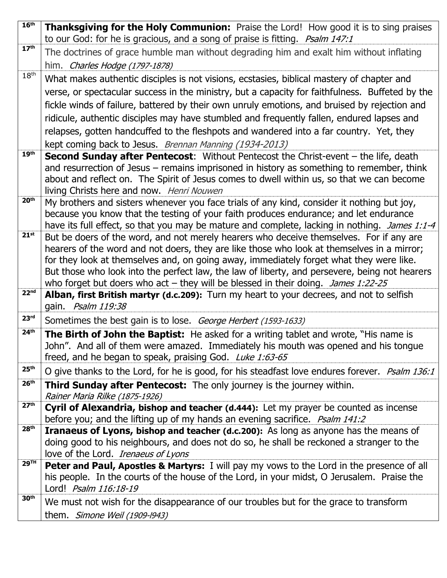| 16 <sup>th</sup> | <b>Thanksgiving for the Holy Communion:</b> Praise the Lord! How good it is to sing praises<br>to our God: for he is gracious, and a song of praise is fitting. <i>Psalm 147:1</i>  |
|------------------|-------------------------------------------------------------------------------------------------------------------------------------------------------------------------------------|
| 17 <sup>th</sup> | The doctrines of grace humble man without degrading him and exalt him without inflating                                                                                             |
|                  | him. <i>Charles Hodge (1797-1878)</i>                                                                                                                                               |
| 18 <sup>th</sup> | What makes authentic disciples is not visions, ecstasies, biblical mastery of chapter and                                                                                           |
|                  | verse, or spectacular success in the ministry, but a capacity for faithfulness. Buffeted by the                                                                                     |
|                  | fickle winds of failure, battered by their own unruly emotions, and bruised by rejection and                                                                                        |
|                  | ridicule, authentic disciples may have stumbled and frequently fallen, endured lapses and                                                                                           |
|                  | relapses, gotten handcuffed to the fleshpots and wandered into a far country. Yet, they                                                                                             |
|                  | kept coming back to Jesus. Brennan Manning (1934-2013)                                                                                                                              |
| 19 <sup>th</sup> | <b>Second Sunday after Pentecost:</b> Without Pentecost the Christ-event – the life, death                                                                                          |
|                  | and resurrection of Jesus – remains imprisoned in history as something to remember, think                                                                                           |
|                  | about and reflect on. The Spirit of Jesus comes to dwell within us, so that we can become                                                                                           |
| 20 <sup>th</sup> | living Christs here and now. Henri Nouwen                                                                                                                                           |
|                  | My brothers and sisters whenever you face trials of any kind, consider it nothing but joy,<br>because you know that the testing of your faith produces endurance; and let endurance |
|                  | have its full effect, so that you may be mature and complete, lacking in nothing. James 1:1-4                                                                                       |
| 21 <sup>st</sup> | But be doers of the word, and not merely hearers who deceive themselves. For if any are                                                                                             |
|                  | hearers of the word and not doers, they are like those who look at themselves in a mirror;                                                                                          |
|                  | for they look at themselves and, on going away, immediately forget what they were like.                                                                                             |
|                  | But those who look into the perfect law, the law of liberty, and persevere, being not hearers                                                                                       |
| 22 <sup>nd</sup> | who forget but doers who $act$ – they will be blessed in their doing. James 1:22-25                                                                                                 |
|                  | Alban, first British martyr (d.c.209): Turn my heart to your decrees, and not to selfish<br>gain. Psalm 119:38                                                                      |
| 23 <sup>rd</sup> | Sometimes the best gain is to lose. George Herbert (1593-1633)                                                                                                                      |
| 24 <sup>th</sup> |                                                                                                                                                                                     |
|                  | <b>The Birth of John the Baptist:</b> He asked for a writing tablet and wrote, "His name is<br>John". And all of them were amazed. Immediately his mouth was opened and his tongue  |
|                  | freed, and he began to speak, praising God. Luke 1:63-65                                                                                                                            |
| 25 <sup>th</sup> | O give thanks to the Lord, for he is good, for his steadfast love endures forever. <i>Psalm 136:1</i>                                                                               |
| 26 <sup>th</sup> | <b>Third Sunday after Pentecost:</b> The only journey is the journey within.                                                                                                        |
| 27 <sup>th</sup> | Rainer Maria Rilke (1875-1926)                                                                                                                                                      |
|                  | Cyril of Alexandria, bishop and teacher (d.444): Let my prayer be counted as incense                                                                                                |
| 28 <sup>th</sup> | before you; and the lifting up of my hands an evening sacrifice. <i>Psalm 141:2</i><br><b>Iranaeus of Lyons, bishop and teacher (d.c.200):</b> As long as anyone has the means of   |
|                  | doing good to his neighbours, and does not do so, he shall be reckoned a stranger to the                                                                                            |
|                  | love of the Lord. Irenaeus of Lyons                                                                                                                                                 |
| <b>29TH</b>      | <b>Peter and Paul, Apostles &amp; Martyrs:</b> I will pay my vows to the Lord in the presence of all                                                                                |
|                  | his people. In the courts of the house of the Lord, in your midst, O Jerusalem. Praise the                                                                                          |
|                  | Lord! Psalm 116:18-19                                                                                                                                                               |
| 30 <sup>th</sup> | We must not wish for the disappearance of our troubles but for the grace to transform                                                                                               |
|                  | them. Simone Weil (1909-1943)                                                                                                                                                       |